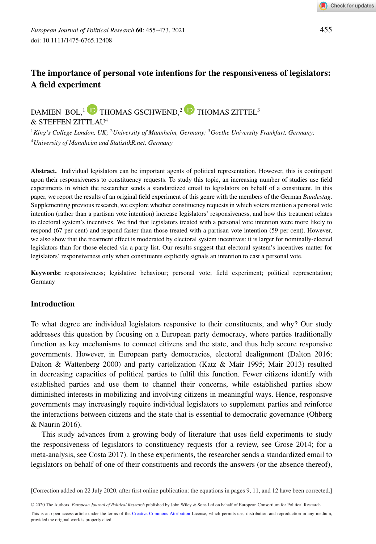

# **The importance of personal vote intentions for the responsiveness of legislators: A field experiment**

# DAMIEN BOL,<sup>1</sup> **D** THOMAS GSCHWEND,<sup>2</sup> **D** THOMAS ZITTEL<sup>3</sup>

& STEFFEN ZITTLAU<sup>4</sup>

<sup>1</sup>*King's College London, UK;* <sup>2</sup>*University of Mannheim, Germany;* <sup>3</sup>*Goethe University Frankfurt, Germany;* <sup>4</sup>*University of Mannheim and StatistikR.net, Germany*

**Abstract.** Individual legislators can be important agents of political representation. However, this is contingent upon their responsiveness to constituency requests. To study this topic, an increasing number of studies use field experiments in which the researcher sends a standardized email to legislators on behalf of a constituent. In this paper, we report the results of an original field experiment of this genre with the members of the German *Bundestag*. Supplementing previous research, we explore whether constituency requests in which voters mention a personal vote intention (rather than a partisan vote intention) increase legislators' responsiveness, and how this treatment relates to electoral system's incentives. We find that legislators treated with a personal vote intention were more likely to respond (67 per cent) and respond faster than those treated with a partisan vote intention (59 per cent). However, we also show that the treatment effect is moderated by electoral system incentives: it is larger for nominally-elected legislators than for those elected via a party list. Our results suggest that electoral system's incentives matter for legislators' responsiveness only when constituents explicitly signals an intention to cast a personal vote.

**Keywords:** responsiveness; legislative behaviour; personal vote; field experiment; political representation; Germany

# **Introduction**

To what degree are individual legislators responsive to their constituents, and why? Our study addresses this question by focusing on a European party democracy, where parties traditionally function as key mechanisms to connect citizens and the state, and thus help secure responsive governments. However, in European party democracies, electoral dealignment (Dalton 2016; Dalton & Wattenberg 2000) and party cartelization (Katz & Mair 1995; Mair 2013) resulted in decreasing capacities of political parties to fulfil this function. Fewer citizens identify with established parties and use them to channel their concerns, while established parties show diminished interests in mobilizing and involving citizens in meaningful ways. Hence, responsive governments may increasingly require individual legislators to supplement parties and reinforce the interactions between citizens and the state that is essential to democratic governance (Ohberg & Naurin 2016).

This study advances from a growing body of literature that uses field experiments to study the responsiveness of legislators to constituency requests (for a review, see Grose 2014; for a meta-analysis, see Costa 2017). In these experiments, the researcher sends a standardized email to legislators on behalf of one of their constituents and records the answers (or the absence thereof),

© 2020 The Authors. *European Journal of Political Research* published by John Wiley & Sons Ltd on behalf of European Consortium for Political Research This is an open access article under the terms of the [Creative Commons Attribution](http://creativecommons.org/licenses/by/4.0/) License, which permits use, distribution and reproduction in any medium, provided the original work is properly cited.

<sup>[</sup>Correction added on 22 July 2020, after first online publication: the equations in pages 9, 11, and 12 have been corrected.]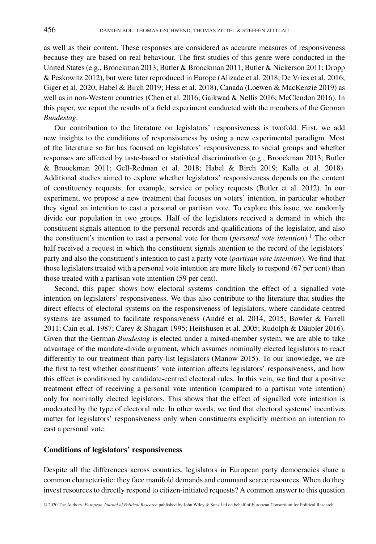as well as their content. These responses are considered as accurate measures of responsiveness because they are based on real behaviour. The first studies of this genre were conducted in the United States (e.g., Broockman 2013; Butler & Broockman 2011; Butler & Nickerson 2011; Dropp & Peskowitz 2012), but were later reproduced in Europe (Alizade et al. 2018; De Vries et al. 2016; Giger et al. 2020; Habel & Birch 2019; Hess et al. 2018), Canada (Loewen & MacKenzie 2019) as well as in non-Western countries (Chen et al. 2016; Gaikwad & Nellis 2016; McClendon 2016). In this paper, we report the results of a field experiment conducted with the members of the German *Bundestag*.

Our contribution to the literature on legislators' responsiveness is twofold. First, we add new insights to the conditions of responsiveness by using a new experimental paradigm. Most of the literature so far has focused on legislators' responsiveness to social groups and whether responses are affected by taste-based or statistical discrimination (e.g., Broockman 2013; Butler & Broockman 2011; Gell-Redman et al. 2018; Habel & Birch 2019; Kalla et al. 2018). Additional studies aimed to explore whether legislators' responsiveness depends on the content of constituency requests, for example, service or policy requests (Butler et al. 2012). In our experiment, we propose a new treatment that focuses on voters' intention, in particular whether they signal an intention to cast a personal or partisan vote. To explore this issue, we randomly divide our population in two groups. Half of the legislators received a demand in which the constituent signals attention to the personal records and qualifications of the legislator, and also the constituent's intention to cast a personal vote for them (*personal vote intention*).1 The other half received a request in which the constituent signals attention to the record of the legislators' party and also the constituent's intention to cast a party vote (*partisan vote intention*). We find that those legislators treated with a personal vote intention are more likely to respond (67 per cent) than those treated with a partisan vote intention (59 per cent).

Second, this paper shows how electoral systems condition the effect of a signalled vote intention on legislators' responsiveness. We thus also contribute to the literature that studies the direct effects of electoral systems on the responsiveness of legislators, where candidate-centred systems are assumed to facilitate responsiveness (André et al. 2014, 2015; Bowler & Farrell 2011; Cain et al. 1987; Carey & Shugart 1995; Heitshusen et al. 2005; Rudolph & Däubler 2016). Given that the German *Bundestag* is elected under a mixed-member system, we are able to take advantage of the mandate-divide argument, which assumes nominally elected legislators to react differently to our treatment than party-list legislators (Manow 2015). To our knowledge, we are the first to test whether constituents' vote intention affects legislators' responsiveness, and how this effect is conditioned by candidate-centred electoral rules. In this vein, we find that a positive treatment effect of receiving a personal vote intention (compared to a partisan vote intention) only for nominally elected legislators. This shows that the effect of signalled vote intention is moderated by the type of electoral rule. In other words, we find that electoral systems' incentives matter for legislators' responsiveness only when constituents explicitly mention an intention to cast a personal vote.

#### **Conditions of legislators' responsiveness**

Despite all the differences across countries, legislators in European party democracies share a common characteristic: they face manifold demands and command scarce resources. When do they invest resources to directly respond to citizen-initiated requests? A common answer to this question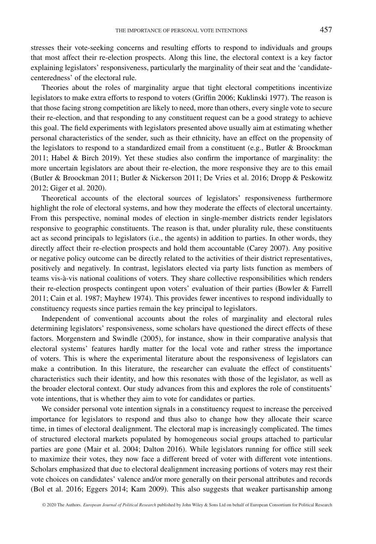stresses their vote-seeking concerns and resulting efforts to respond to individuals and groups that most affect their re-election prospects. Along this line, the electoral context is a key factor explaining legislators' responsiveness, particularly the marginality of their seat and the 'candidatecenteredness' of the electoral rule.

Theories about the roles of marginality argue that tight electoral competitions incentivize legislators to make extra efforts to respond to voters (Griffin 2006; Kuklinski 1977). The reason is that those facing strong competition are likely to need, more than others, every single vote to secure their re-election, and that responding to any constituent request can be a good strategy to achieve this goal. The field experiments with legislators presented above usually aim at estimating whether personal characteristics of the sender, such as their ethnicity, have an effect on the propensity of the legislators to respond to a standardized email from a constituent (e.g., Butler & Broockman 2011; Habel & Birch 2019). Yet these studies also confirm the importance of marginality: the more uncertain legislators are about their re-election, the more responsive they are to this email (Butler & Broockman 2011; Butler & Nickerson 2011; De Vries et al. 2016; Dropp & Peskowitz 2012; Giger et al. 2020).

Theoretical accounts of the electoral sources of legislators' responsiveness furthermore highlight the role of electoral systems, and how they moderate the effects of electoral uncertainty. From this perspective, nominal modes of election in single-member districts render legislators responsive to geographic constituents. The reason is that, under plurality rule, these constituents act as second principals to legislators (i.e., the agents) in addition to parties. In other words, they directly affect their re-election prospects and hold them accountable (Carey 2007). Any positive or negative policy outcome can be directly related to the activities of their district representatives, positively and negatively. In contrast, legislators elected via party lists function as members of teams vis-à-vis national coalitions of voters. They share collective responsibilities which renders their re-election prospects contingent upon voters' evaluation of their parties (Bowler & Farrell 2011; Cain et al. 1987; Mayhew 1974). This provides fewer incentives to respond individually to constituency requests since parties remain the key principal to legislators.

Independent of conventional accounts about the roles of marginality and electoral rules determining legislators' responsiveness, some scholars have questioned the direct effects of these factors. Morgenstern and Swindle (2005), for instance, show in their comparative analysis that electoral systems' features hardly matter for the local vote and rather stress the importance of voters. This is where the experimental literature about the responsiveness of legislators can make a contribution. In this literature, the researcher can evaluate the effect of constituents' characteristics such their identity, and how this resonates with those of the legislator, as well as the broader electoral context. Our study advances from this and explores the role of constituents' vote intentions, that is whether they aim to vote for candidates or parties.

We consider personal vote intention signals in a constituency request to increase the perceived importance for legislators to respond and thus also to change how they allocate their scarce time, in times of electoral dealignment. The electoral map is increasingly complicated. The times of structured electoral markets populated by homogeneous social groups attached to particular parties are gone (Mair et al. 2004; Dalton 2016). While legislators running for office still seek to maximize their votes, they now face a different breed of voter with different vote intentions. Scholars emphasized that due to electoral dealignment increasing portions of voters may rest their vote choices on candidates' valence and/or more generally on their personal attributes and records (Bol et al. 2016; Eggers 2014; Kam 2009). This also suggests that weaker partisanship among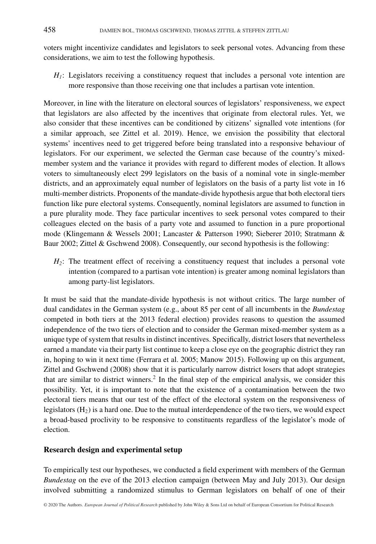voters might incentivize candidates and legislators to seek personal votes. Advancing from these considerations, we aim to test the following hypothesis.

*H<sub>1</sub>*: Legislators receiving a constituency request that includes a personal vote intention are more responsive than those receiving one that includes a partisan vote intention.

Moreover, in line with the literature on electoral sources of legislators' responsiveness, we expect that legislators are also affected by the incentives that originate from electoral rules. Yet, we also consider that these incentives can be conditioned by citizens' signalled vote intentions (for a similar approach, see Zittel et al. 2019). Hence, we envision the possibility that electoral systems' incentives need to get triggered before being translated into a responsive behaviour of legislators. For our experiment, we selected the German case because of the country's mixedmember system and the variance it provides with regard to different modes of election. It allows voters to simultaneously elect 299 legislators on the basis of a nominal vote in single-member districts, and an approximately equal number of legislators on the basis of a party list vote in 16 multi-member districts. Proponents of the mandate-divide hypothesis argue that both electoral tiers function like pure electoral systems. Consequently, nominal legislators are assumed to function in a pure plurality mode. They face particular incentives to seek personal votes compared to their colleagues elected on the basis of a party vote and assumed to function in a pure proportional mode (Klingemann & Wessels 2001; Lancaster & Patterson 1990; Sieberer 2010; Stratmann & Baur 2002; Zittel & Gschwend 2008). Consequently, our second hypothesis is the following:

*H2*: The treatment effect of receiving a constituency request that includes a personal vote intention (compared to a partisan vote intention) is greater among nominal legislators than among party-list legislators.

It must be said that the mandate-divide hypothesis is not without critics. The large number of dual candidates in the German system (e.g., about 85 per cent of all incumbents in the *Bundestag* competed in both tiers at the 2013 federal election) provides reasons to question the assumed independence of the two tiers of election and to consider the German mixed-member system as a unique type of system that results in distinct incentives. Specifically, district losers that nevertheless earned a mandate via their party list continue to keep a close eye on the geographic district they ran in, hoping to win it next time (Ferrara et al. 2005; Manow 2015). Following up on this argument, Zittel and Gschwend (2008) show that it is particularly narrow district losers that adopt strategies that are similar to district winners.<sup>2</sup> In the final step of the empirical analysis, we consider this possibility. Yet, it is important to note that the existence of a contamination between the two electoral tiers means that our test of the effect of the electoral system on the responsiveness of legislators  $(H_2)$  is a hard one. Due to the mutual interdependence of the two tiers, we would expect a broad-based proclivity to be responsive to constituents regardless of the legislator's mode of election.

#### **Research design and experimental setup**

To empirically test our hypotheses, we conducted a field experiment with members of the German *Bundestag* on the eve of the 2013 election campaign (between May and July 2013). Our design involved submitting a randomized stimulus to German legislators on behalf of one of their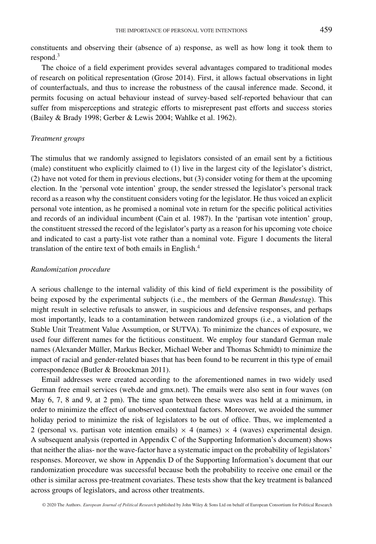constituents and observing their (absence of a) response, as well as how long it took them to respond.<sup>3</sup>

The choice of a field experiment provides several advantages compared to traditional modes of research on political representation (Grose 2014). First, it allows factual observations in light of counterfactuals, and thus to increase the robustness of the causal inference made. Second, it permits focusing on actual behaviour instead of survey-based self-reported behaviour that can suffer from misperceptions and strategic efforts to misrepresent past efforts and success stories (Bailey & Brady 1998; Gerber & Lewis 2004; Wahlke et al. 1962).

#### *Treatment groups*

The stimulus that we randomly assigned to legislators consisted of an email sent by a fictitious (male) constituent who explicitly claimed to (1) live in the largest city of the legislator's district, (2) have not voted for them in previous elections, but (3) consider voting for them at the upcoming election. In the 'personal vote intention' group, the sender stressed the legislator's personal track record as a reason why the constituent considers voting for the legislator. He thus voiced an explicit personal vote intention, as he promised a nominal vote in return for the specific political activities and records of an individual incumbent (Cain et al. 1987). In the 'partisan vote intention' group, the constituent stressed the record of the legislator's party as a reason for his upcoming vote choice and indicated to cast a party-list vote rather than a nominal vote. Figure 1 documents the literal translation of the entire text of both emails in English.<sup>4</sup>

#### *Randomization procedure*

A serious challenge to the internal validity of this kind of field experiment is the possibility of being exposed by the experimental subjects (i.e., the members of the German *Bundestag*). This might result in selective refusals to answer, in suspicious and defensive responses, and perhaps most importantly, leads to a contamination between randomized groups (i.e., a violation of the Stable Unit Treatment Value Assumption, or SUTVA). To minimize the chances of exposure, we used four different names for the fictitious constituent. We employ four standard German male names (Alexander Müller, Markus Becker, Michael Weber and Thomas Schmidt) to minimize the impact of racial and gender-related biases that has been found to be recurrent in this type of email correspondence (Butler & Broockman 2011).

Email addresses were created according to the aforementioned names in two widely used German free email services (web.de and gmx.net). The emails were also sent in four waves (on May 6, 7, 8 and 9, at 2 pm). The time span between these waves was held at a minimum, in order to minimize the effect of unobserved contextual factors. Moreover, we avoided the summer holiday period to minimize the risk of legislators to be out of office. Thus, we implemented a 2 (personal vs. partisan vote intention emails)  $\times$  4 (names)  $\times$  4 (waves) experimental design. A subsequent analysis (reported in Appendix C of the Supporting Information's document) shows that neither the alias- nor the wave-factor have a systematic impact on the probability of legislators' responses. Moreover, we show in Appendix D of the Supporting Information's document that our randomization procedure was successful because both the probability to receive one email or the other is similar across pre-treatment covariates. These tests show that the key treatment is balanced across groups of legislators, and across other treatments.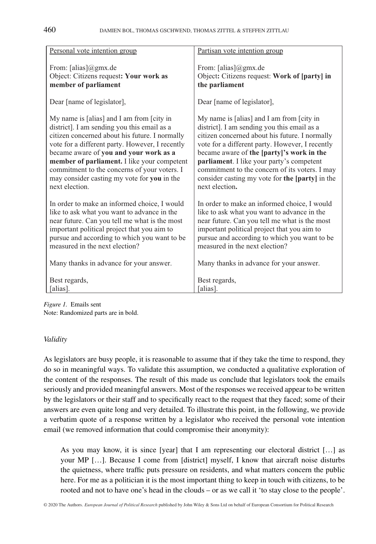| Personal vote intention group                   | Partisan vote intention group                   |  |
|-------------------------------------------------|-------------------------------------------------|--|
| From: $[alias]$ @gmx.de                         | From: [alias]@gmx.de                            |  |
| Object: Citizens request: Your work as          | Object: Citizens request: Work of [party] in    |  |
| member of parliament                            | the parliament                                  |  |
| Dear [name of legislator],                      | Dear [name of legislator],                      |  |
| My name is [alias] and I am from [city in       | My name is [alias] and I am from [city in       |  |
| district]. I am sending you this email as a     | district]. I am sending you this email as a     |  |
| citizen concerned about his future. I normally  | citizen concerned about his future. I normally  |  |
| vote for a different party. However, I recently | vote for a different party. However, I recently |  |
| became aware of you and your work as a          | became aware of the [party]'s work in the       |  |
| member of parliament. I like your competent     | parliament. I like your party's competent       |  |
| commitment to the concerns of your voters. I    | commitment to the concern of its voters. I may  |  |
| may consider casting my vote for you in the     | consider casting my vote for the [party] in the |  |
| next election.                                  | next election.                                  |  |
| In order to make an informed choice, I would    | In order to make an informed choice, I would    |  |
| like to ask what you want to advance in the     | like to ask what you want to advance in the     |  |
| near future. Can you tell me what is the most   | near future. Can you tell me what is the most   |  |
| important political project that you aim to     | important political project that you aim to     |  |
| pursue and according to which you want to be    | pursue and according to which you want to be    |  |
| measured in the next election?                  | measured in the next election?                  |  |
| Many thanks in advance for your answer.         | Many thanks in advance for your answer.         |  |
| Best regards,                                   | Best regards,                                   |  |
| alias].                                         | [alias].                                        |  |
|                                                 |                                                 |  |

*Figure 1.* Emails sent Note: Randomized parts are in bold.

#### *Validity*

As legislators are busy people, it is reasonable to assume that if they take the time to respond, they do so in meaningful ways. To validate this assumption, we conducted a qualitative exploration of the content of the responses. The result of this made us conclude that legislators took the emails seriously and provided meaningful answers. Most of the responses we received appear to be written by the legislators or their staff and to specifically react to the request that they faced; some of their answers are even quite long and very detailed. To illustrate this point, in the following, we provide a verbatim quote of a response written by a legislator who received the personal vote intention email (we removed information that could compromise their anonymity):

As you may know, it is since [year] that I am representing our electoral district […] as your MP […]. Because I come from [district] myself, I know that aircraft noise disturbs the quietness, where traffic puts pressure on residents, and what matters concern the public here. For me as a politician it is the most important thing to keep in touch with citizens, to be rooted and not to have one's head in the clouds – or as we call it 'to stay close to the people'.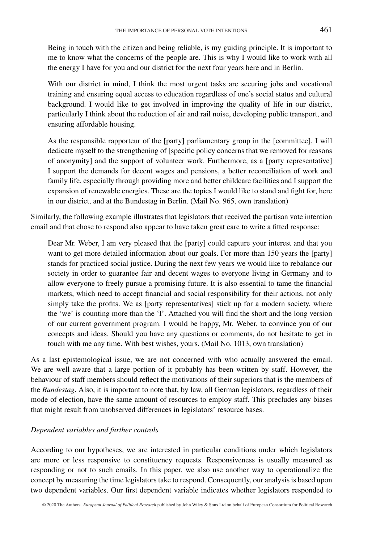Being in touch with the citizen and being reliable, is my guiding principle. It is important to me to know what the concerns of the people are. This is why I would like to work with all the energy I have for you and our district for the next four years here and in Berlin.

With our district in mind, I think the most urgent tasks are securing jobs and vocational training and ensuring equal access to education regardless of one's social status and cultural background. I would like to get involved in improving the quality of life in our district, particularly I think about the reduction of air and rail noise, developing public transport, and ensuring affordable housing.

As the responsible rapporteur of the [party] parliamentary group in the [committee], I will dedicate myself to the strengthening of [specific policy concerns that we removed for reasons of anonymity] and the support of volunteer work. Furthermore, as a [party representative] I support the demands for decent wages and pensions, a better reconciliation of work and family life, especially through providing more and better childcare facilities and I support the expansion of renewable energies. These are the topics I would like to stand and fight for, here in our district, and at the Bundestag in Berlin. (Mail No. 965, own translation)

Similarly, the following example illustrates that legislators that received the partisan vote intention email and that chose to respond also appear to have taken great care to write a fitted response:

Dear Mr. Weber, I am very pleased that the [party] could capture your interest and that you want to get more detailed information about our goals. For more than 150 years the [party] stands for practiced social justice. During the next few years we would like to rebalance our society in order to guarantee fair and decent wages to everyone living in Germany and to allow everyone to freely pursue a promising future. It is also essential to tame the financial markets, which need to accept financial and social responsibility for their actions, not only simply take the profits. We as [party representatives] stick up for a modern society, where the 'we' is counting more than the 'I'. Attached you will find the short and the long version of our current government program. I would be happy, Mr. Weber, to convince you of our concepts and ideas. Should you have any questions or comments, do not hesitate to get in touch with me any time. With best wishes, yours. (Mail No. 1013, own translation)

As a last epistemological issue, we are not concerned with who actually answered the email. We are well aware that a large portion of it probably has been written by staff. However, the behaviour of staff members should reflect the motivations of their superiors that is the members of the *Bundestag*. Also, it is important to note that, by law, all German legislators, regardless of their mode of election, have the same amount of resources to employ staff. This precludes any biases that might result from unobserved differences in legislators' resource bases.

# *Dependent variables and further controls*

According to our hypotheses, we are interested in particular conditions under which legislators are more or less responsive to constituency requests. Responsiveness is usually measured as responding or not to such emails. In this paper, we also use another way to operationalize the concept by measuring the time legislators take to respond. Consequently, our analysis is based upon two dependent variables. Our first dependent variable indicates whether legislators responded to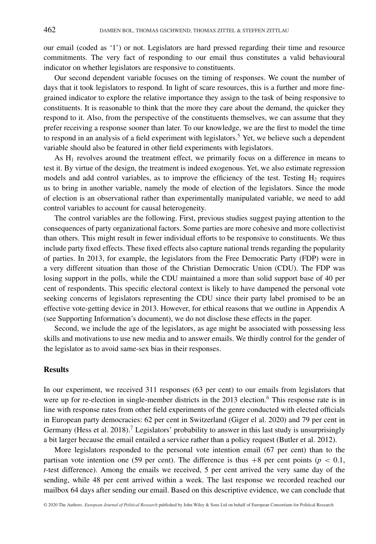our email (coded as '1') or not. Legislators are hard pressed regarding their time and resource commitments. The very fact of responding to our email thus constitutes a valid behavioural indicator on whether legislators are responsive to constituents.

Our second dependent variable focuses on the timing of responses. We count the number of days that it took legislators to respond. In light of scare resources, this is a further and more finegrained indicator to explore the relative importance they assign to the task of being responsive to constituents. It is reasonable to think that the more they care about the demand, the quicker they respond to it. Also, from the perspective of the constituents themselves, we can assume that they prefer receiving a response sooner than later. To our knowledge, we are the first to model the time to respond in an analysis of a field experiment with legislators.<sup>5</sup> Yet, we believe such a dependent variable should also be featured in other field experiments with legislators.

As  $H_1$  revolves around the treatment effect, we primarily focus on a difference in means to test it. By virtue of the design, the treatment is indeed exogenous. Yet, we also estimate regression models and add control variables, as to improve the efficiency of the test. Testing  $H_2$  requires us to bring in another variable, namely the mode of election of the legislators. Since the mode of election is an observational rather than experimentally manipulated variable, we need to add control variables to account for causal heterogeneity.

The control variables are the following. First, previous studies suggest paying attention to the consequences of party organizational factors. Some parties are more cohesive and more collectivist than others. This might result in fewer individual efforts to be responsive to constituents. We thus include party fixed effects. These fixed effects also capture national trends regarding the popularity of parties. In 2013, for example, the legislators from the Free Democratic Party (FDP) were in a very different situation than those of the Christian Democratic Union (CDU). The FDP was losing support in the polls, while the CDU maintained a more than solid support base of 40 per cent of respondents. This specific electoral context is likely to have dampened the personal vote seeking concerns of legislators representing the CDU since their party label promised to be an effective vote-getting device in 2013. However, for ethical reasons that we outline in Appendix A (see Supporting Information's document), we do not disclose these effects in the paper.

Second, we include the age of the legislators, as age might be associated with possessing less skills and motivations to use new media and to answer emails. We thirdly control for the gender of the legislator as to avoid same-sex bias in their responses.

#### **Results**

In our experiment, we received 311 responses (63 per cent) to our emails from legislators that were up for re-election in single-member districts in the 2013 election.<sup>6</sup> This response rate is in line with response rates from other field experiments of the genre conducted with elected officials in European party democracies: 62 per cent in Switzerland (Giger el al. 2020) and 79 per cent in Germany (Hess et al. 2018).<sup>7</sup> Legislators' probability to answer in this last study is unsurprisingly a bit larger because the email entailed a service rather than a policy request (Butler et al. 2012).

More legislators responded to the personal vote intention email (67 per cent) than to the partisan vote intention one (59 per cent). The difference is thus  $+8$  per cent points ( $p < 0.1$ , *t*-test difference). Among the emails we received, 5 per cent arrived the very same day of the sending, while 48 per cent arrived within a week. The last response we recorded reached our mailbox 64 days after sending our email. Based on this descriptive evidence, we can conclude that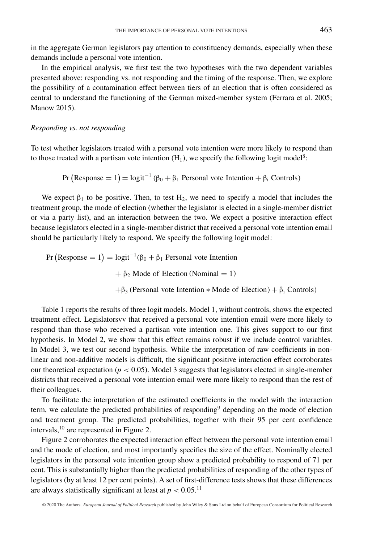in the aggregate German legislators pay attention to constituency demands, especially when these demands include a personal vote intention.

In the empirical analysis, we first test the two hypotheses with the two dependent variables presented above: responding vs. not responding and the timing of the response. Then, we explore the possibility of a contamination effect between tiers of an election that is often considered as central to understand the functioning of the German mixed-member system (Ferrara et al. 2005; Manow 2015).

#### *Responding vs. not responding*

To test whether legislators treated with a personal vote intention were more likely to respond than to those treated with a partisan vote intention  $(H_1)$ , we specify the following logit model<sup>8</sup>:

Pr (Response = 1) = logit<sup>-1</sup> ( $\beta_0 + \beta_1$  Personal vote Intention +  $\beta_i$  Controls)

We expect  $\beta_1$  to be positive. Then, to test  $H_2$ , we need to specify a model that includes the treatment group, the mode of election (whether the legislator is elected in a single-member district or via a party list), and an interaction between the two. We expect a positive interaction effect because legislators elected in a single-member district that received a personal vote intention email should be particularly likely to respond. We specify the following logit model:

$$
Pr (Response = 1) = logit^{-1}(\beta_0 + \beta_1 \text{ Personal vote Intention}
$$
  
+  $\beta_2$  Mode of Electron (Nominal = 1)  
+ $\beta_3$  (Personal vote Intention \* Mode of Electron) +  $\beta_i$  Controls)

Table 1 reports the results of three logit models. Model 1, without controls, shows the expected treatment effect. Legislatorsvv that received a personal vote intention email were more likely to respond than those who received a partisan vote intention one. This gives support to our first hypothesis. In Model 2, we show that this effect remains robust if we include control variables. In Model 3, we test our second hypothesis. While the interpretation of raw coefficients in nonlinear and non-additive models is difficult, the significant positive interaction effect corroborates our theoretical expectation ( $p < 0.05$ ). Model 3 suggests that legislators elected in single-member districts that received a personal vote intention email were more likely to respond than the rest of their colleagues.

To facilitate the interpretation of the estimated coefficients in the model with the interaction term, we calculate the predicted probabilities of responding<sup>9</sup> depending on the mode of election and treatment group. The predicted probabilities, together with their 95 per cent confidence intervals,10 are represented in Figure 2.

Figure 2 corroborates the expected interaction effect between the personal vote intention email and the mode of election, and most importantly specifies the size of the effect. Nominally elected legislators in the personal vote intention group show a predicted probability to respond of 71 per cent. This is substantially higher than the predicted probabilities of responding of the other types of legislators (by at least 12 per cent points). A set of first-difference tests shows that these differences are always statistically significant at least at  $p < 0.05$ .<sup>11</sup>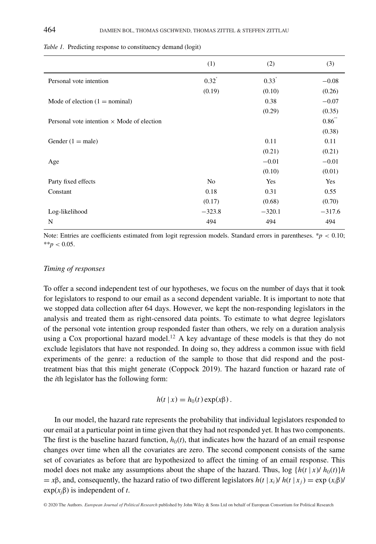|                                                   | (1)            | (2)      | (3)      |
|---------------------------------------------------|----------------|----------|----------|
| Personal vote intention                           | $0.32^{0}$     | 0.33     | $-0.08$  |
|                                                   | (0.19)         | (0.10)   | (0.26)   |
| Mode of election $(1 = \text{nominal})$           |                | 0.38     | $-0.07$  |
|                                                   |                | (0.29)   | (0.35)   |
| Personal vote intention $\times$ Mode of election |                |          | 0.86     |
|                                                   |                |          | (0.38)   |
| Gender $(1 = male)$                               |                | 0.11     | 0.11     |
|                                                   |                | (0.21)   | (0.21)   |
| Age                                               |                | $-0.01$  | $-0.01$  |
|                                                   |                | (0.10)   | (0.01)   |
| Party fixed effects                               | N <sub>0</sub> | Yes      | Yes      |
| Constant                                          | 0.18           | 0.31     | 0.55     |
|                                                   | (0.17)         | (0.68)   | (0.70)   |
| Log-likelihood                                    | $-323.8$       | $-320.1$ | $-317.6$ |
| N                                                 | 494            | 494      | 494      |

*Table 1.* Predicting response to constituency demand (logit)

Note: Entries are coefficients estimated from logit regression models. Standard errors in parentheses. \**p <* 0.10;  $*$ *\*p* < 0.05.

#### *Timing of responses*

To offer a second independent test of our hypotheses, we focus on the number of days that it took for legislators to respond to our email as a second dependent variable. It is important to note that we stopped data collection after 64 days. However, we kept the non-responding legislators in the analysis and treated them as right-censored data points. To estimate to what degree legislators of the personal vote intention group responded faster than others, we rely on a duration analysis using a Cox proportional hazard model.<sup>12</sup> A key advantage of these models is that they do not exclude legislators that have not responded. In doing so, they address a common issue with field experiments of the genre: a reduction of the sample to those that did respond and the posttreatment bias that this might generate (Coppock 2019). The hazard function or hazard rate of the *i*th legislator has the following form:

$$
h(t | x) = h_0(t) \exp(x\beta).
$$

In our model, the hazard rate represents the probability that individual legislators responded to our email at a particular point in time given that they had not responded yet. It has two components. The first is the baseline hazard function,  $h_0(t)$ , that indicates how the hazard of an email response changes over time when all the covariates are zero. The second component consists of the same set of covariates as before that are hypothesized to affect the timing of an email response. This model does not make any assumptions about the shape of the hazard. Thus,  $\log \{h(t | x) / h_0(t)\}$ *h*  $= x\beta$ , and, consequently, the hazard ratio of two different legislators  $h(t | x_i) / h(t | x_i) = \exp(x_i\beta) /$ exp(*xj*β) is independent of *t*.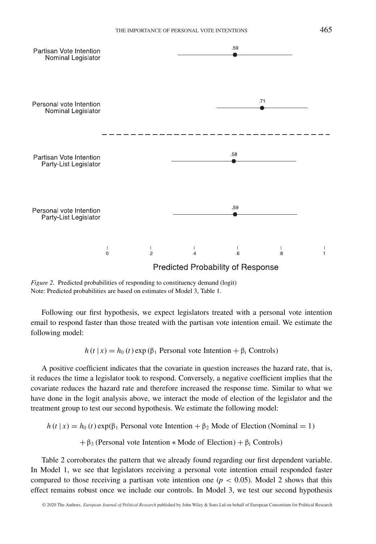

*Figure 2.* Predicted probabilities of responding to constituency demand (logit) Note: Predicted probabilities are based on estimates of Model 3, Table 1.

Following our first hypothesis, we expect legislators treated with a personal vote intention email to respond faster than those treated with the partisan vote intention email. We estimate the following model:

 $h(t | x) = h_0(t) \exp(\beta_1)$  Personal vote Intention +  $\beta_i$  Controls)

A positive coefficient indicates that the covariate in question increases the hazard rate, that is, it reduces the time a legislator took to respond. Conversely, a negative coefficient implies that the covariate reduces the hazard rate and therefore increased the response time. Similar to what we have done in the logit analysis above, we interact the mode of election of the legislator and the treatment group to test our second hypothesis. We estimate the following model:

 $h(t | x) = h_0(t) \exp(\beta_1)$  Personal vote Intention +  $\beta_2$  Mode of Election (Nominal = 1)

+  $\beta_3$  (Personal vote Intention \* Mode of Election) +  $\beta_i$  Controls)

Table 2 corroborates the pattern that we already found regarding our first dependent variable. In Model 1, we see that legislators receiving a personal vote intention email responded faster compared to those receiving a partisan vote intention one ( $p < 0.05$ ). Model 2 shows that this effect remains robust once we include our controls. In Model 3, we test our second hypothesis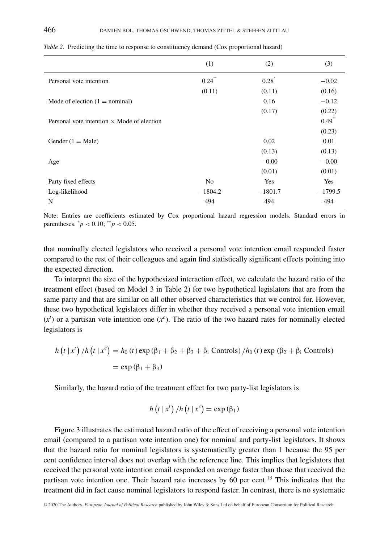|                                                   | (1)            | (2)       | (3)       |
|---------------------------------------------------|----------------|-----------|-----------|
| Personal vote intention                           | 0.24           | 0.28      | $-0.02$   |
|                                                   | (0.11)         | (0.11)    | (0.16)    |
| Mode of election $(1 = \text{nominal})$           |                | 0.16      | $-0.12$   |
|                                                   |                | (0.17)    | (0.22)    |
| Personal vote intention $\times$ Mode of election |                |           | 0.49      |
|                                                   |                |           | (0.23)    |
| Gender $(1 = Male)$                               |                | 0.02      | 0.01      |
|                                                   |                | (0.13)    | (0.13)    |
| Age                                               |                | $-0.00$   | $-0.00$   |
|                                                   |                | (0.01)    | (0.01)    |
| Party fixed effects                               | N <sub>0</sub> | Yes       | Yes       |
| Log-likelihood                                    | $-1804.2$      | $-1801.7$ | $-1799.5$ |
| N                                                 | 494            | 494       | 494       |

*Table 2.* Predicting the time to response to constituency demand (Cox proportional hazard)

Note: Entries are coefficients estimated by Cox proportional hazard regression models. Standard errors in parentheses.  $^{*}p$  < 0.10;  $^{*}p$  < 0.05.

that nominally elected legislators who received a personal vote intention email responded faster compared to the rest of their colleagues and again find statistically significant effects pointing into the expected direction.

To interpret the size of the hypothesized interaction effect, we calculate the hazard ratio of the treatment effect (based on Model 3 in Table 2) for two hypothetical legislators that are from the same party and that are similar on all other observed characteristics that we control for. However, these two hypothetical legislators differ in whether they received a personal vote intention email  $(x<sup>t</sup>)$  or a partisan vote intention one  $(x<sup>c</sup>)$ . The ratio of the two hazard rates for nominally elected legislators is

$$
h(t | xt) / h(t | xc) = h0(t) \exp(\beta_1 + \beta_2 + \beta_3 + \beta_i \text{ Controls}) / h0(t) \exp(\beta_2 + \beta_i \text{ Controls})
$$
  
=  $\exp(\beta_1 + \beta_3)$ 

Similarly, the hazard ratio of the treatment effect for two party-list legislators is

$$
h(t | x^{t}) / h(t | x^{c}) = \exp(\beta_{1})
$$

Figure 3 illustrates the estimated hazard ratio of the effect of receiving a personal vote intention email (compared to a partisan vote intention one) for nominal and party-list legislators. It shows that the hazard ratio for nominal legislators is systematically greater than 1 because the 95 per cent confidence interval does not overlap with the reference line. This implies that legislators that received the personal vote intention email responded on average faster than those that received the partisan vote intention one. Their hazard rate increases by 60 per cent.<sup>13</sup> This indicates that the treatment did in fact cause nominal legislators to respond faster. In contrast, there is no systematic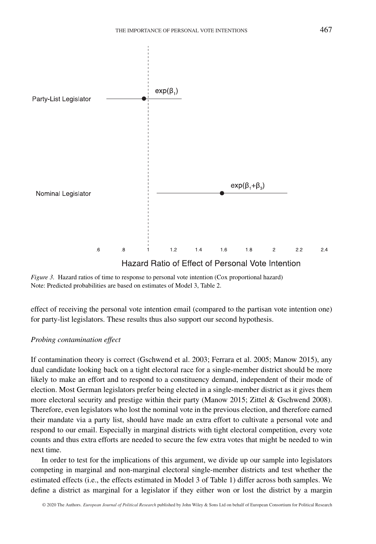

Hazard Ratio of Effect of Personal Vote Intention

*Figure 3.* Hazard ratios of time to response to personal vote intention (Cox proportional hazard) Note: Predicted probabilities are based on estimates of Model 3, Table 2.

effect of receiving the personal vote intention email (compared to the partisan vote intention one) for party-list legislators. These results thus also support our second hypothesis.

#### *Probing contamination effect*

If contamination theory is correct (Gschwend et al. 2003; Ferrara et al. 2005; Manow 2015), any dual candidate looking back on a tight electoral race for a single-member district should be more likely to make an effort and to respond to a constituency demand, independent of their mode of election. Most German legislators prefer being elected in a single-member district as it gives them more electoral security and prestige within their party (Manow 2015; Zittel & Gschwend 2008). Therefore, even legislators who lost the nominal vote in the previous election, and therefore earned their mandate via a party list, should have made an extra effort to cultivate a personal vote and respond to our email. Especially in marginal districts with tight electoral competition, every vote counts and thus extra efforts are needed to secure the few extra votes that might be needed to win next time.

In order to test for the implications of this argument, we divide up our sample into legislators competing in marginal and non-marginal electoral single-member districts and test whether the estimated effects (i.e., the effects estimated in Model 3 of Table 1) differ across both samples. We define a district as marginal for a legislator if they either won or lost the district by a margin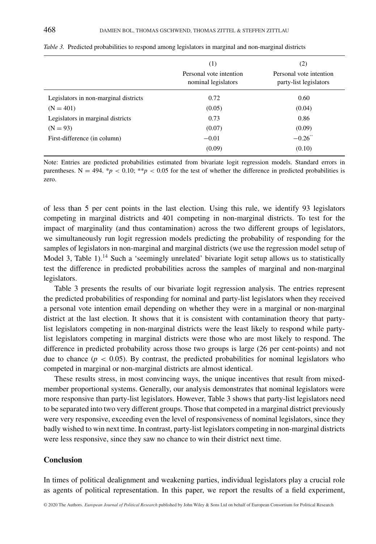|                                       | (1)<br>Personal vote intention<br>nominal legislators | (2)<br>Personal vote intention<br>party-list legislators |
|---------------------------------------|-------------------------------------------------------|----------------------------------------------------------|
| Legislators in non-marginal districts | 0.72                                                  | 0.60                                                     |
| $(N = 401)$                           | (0.05)                                                | (0.04)                                                   |
| Legislators in marginal districts     | 0.73                                                  | 0.86                                                     |
| $(N = 93)$                            | (0.07)                                                | (0.09)                                                   |
| First-difference (in column)          | $-0.01$                                               | $-0.26$ <sup>**</sup>                                    |
|                                       | (0.09)                                                | (0.10)                                                   |

*Table 3.* Predicted probabilities to respond among legislators in marginal and non-marginal districts

Note: Entries are predicted probabilities estimated from bivariate logit regression models. Standard errors in parentheses. N = 494.  $p < 0.10$ ; \*\* $p < 0.05$  for the test of whether the difference in predicted probabilities is zero.

of less than 5 per cent points in the last election. Using this rule, we identify 93 legislators competing in marginal districts and 401 competing in non-marginal districts. To test for the impact of marginality (and thus contamination) across the two different groups of legislators, we simultaneously run logit regression models predicting the probability of responding for the samples of legislators in non-marginal and marginal districts (we use the regression model setup of Model 3, Table  $1$ ).<sup>14</sup> Such a 'seemingly unrelated' bivariate logit setup allows us to statistically test the difference in predicted probabilities across the samples of marginal and non-marginal legislators.

Table 3 presents the results of our bivariate logit regression analysis. The entries represent the predicted probabilities of responding for nominal and party-list legislators when they received a personal vote intention email depending on whether they were in a marginal or non-marginal district at the last election. It shows that it is consistent with contamination theory that partylist legislators competing in non-marginal districts were the least likely to respond while partylist legislators competing in marginal districts were those who are most likely to respond. The difference in predicted probability across those two groups is large (26 per cent-points) and not due to chance  $(p < 0.05)$ . By contrast, the predicted probabilities for nominal legislators who competed in marginal or non-marginal districts are almost identical.

These results stress, in most convincing ways, the unique incentives that result from mixedmember proportional systems. Generally, our analysis demonstrates that nominal legislators were more responsive than party-list legislators. However, Table 3 shows that party-list legislators need to be separated into two very different groups. Those that competed in a marginal district previously were very responsive, exceeding even the level of responsiveness of nominal legislators, since they badly wished to win next time. In contrast, party-list legislators competing in non-marginal districts were less responsive, since they saw no chance to win their district next time.

#### **Conclusion**

In times of political dealignment and weakening parties, individual legislators play a crucial role as agents of political representation. In this paper, we report the results of a field experiment,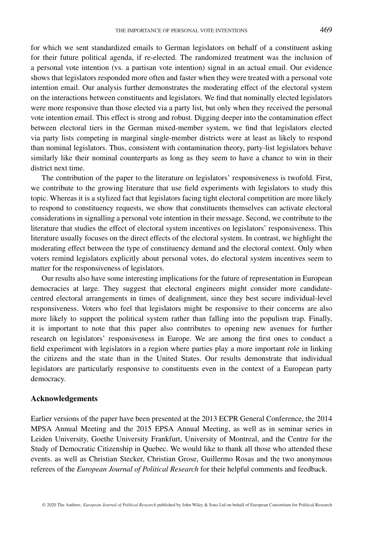for which we sent standardized emails to German legislators on behalf of a constituent asking for their future political agenda, if re-elected. The randomized treatment was the inclusion of a personal vote intention (vs. a partisan vote intention) signal in an actual email. Our evidence shows that legislators responded more often and faster when they were treated with a personal vote intention email. Our analysis further demonstrates the moderating effect of the electoral system on the interactions between constituents and legislators. We find that nominally elected legislators were more responsive than those elected via a party list, but only when they received the personal vote intention email. This effect is strong and robust. Digging deeper into the contamination effect between electoral tiers in the German mixed-member system, we find that legislators elected via party lists competing in marginal single-member districts were at least as likely to respond than nominal legislators. Thus, consistent with contamination theory, party-list legislators behave similarly like their nominal counterparts as long as they seem to have a chance to win in their district next time.

The contribution of the paper to the literature on legislators' responsiveness is twofold. First, we contribute to the growing literature that use field experiments with legislators to study this topic. Whereas it is a stylized fact that legislators facing tight electoral competition are more likely to respond to constituency requests, we show that constituents themselves can activate electoral considerations in signalling a personal vote intention in their message. Second, we contribute to the literature that studies the effect of electoral system incentives on legislators' responsiveness. This literature usually focuses on the direct effects of the electoral system. In contrast, we highlight the moderating effect between the type of constituency demand and the electoral context. Only when voters remind legislators explicitly about personal votes, do electoral system incentives seem to matter for the responsiveness of legislators.

Our results also have some interesting implications for the future of representation in European democracies at large. They suggest that electoral engineers might consider more candidatecentred electoral arrangements in times of dealignment, since they best secure individual-level responsiveness. Voters who feel that legislators might be responsive to their concerns are also more likely to support the political system rather than falling into the populism trap. Finally, it is important to note that this paper also contributes to opening new avenues for further research on legislators' responsiveness in Europe. We are among the first ones to conduct a field experiment with legislators in a region where parties play a more important role in linking the citizens and the state than in the United States. Our results demonstrate that individual legislators are particularly responsive to constituents even in the context of a European party democracy.

#### **Acknowledgements**

Earlier versions of the paper have been presented at the 2013 ECPR General Conference, the 2014 MPSA Annual Meeting and the 2015 EPSA Annual Meeting, as well as in seminar series in Leiden University, Goethe University Frankfurt, University of Montreal, and the Centre for the Study of Democratic Citizenship in Quebec. We would like to thank all those who attended these events. as well as Christian Stecker, Christian Grose, Guillermo Rosas and the two anonymous referees of the *European Journal of Political Research* for their helpful comments and feedback.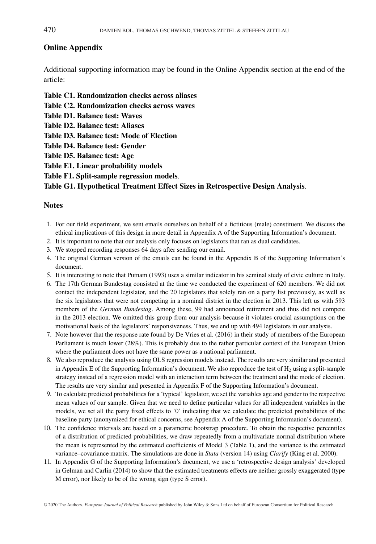## **Online Appendix**

Additional supporting information may be found in the Online Appendix section at the end of the article:

- **Table C1. Randomization checks across aliases**
- **Table C2. Randomization checks across waves**
- **Table D1. Balance test: Waves**
- **Table D2. Balance test: Aliases**
- **Table D3. Balance test: Mode of Election**
- **Table D4. Balance test: Gender**
- **Table D5. Balance test: Age**
- **Table E1. Linear probability models**
- **Table F1. Split-sample regression models**.

#### **Table G1. Hypothetical Treatment Effect Sizes in Retrospective Design Analysis**.

#### **Notes**

- 1. For our field experiment, we sent emails ourselves on behalf of a fictitious (male) constituent. We discuss the ethical implications of this design in more detail in Appendix A of the Supporting Information's document.
- 2. It is important to note that our analysis only focuses on legislators that ran as dual candidates.
- 3. We stopped recording responses 64 days after sending our email.
- 4. The original German version of the emails can be found in the Appendix B of the Supporting Information's document.
- 5. It is interesting to note that Putnam (1993) uses a similar indicator in his seminal study of civic culture in Italy.
- 6. The 17th German Bundestag consisted at the time we conducted the experiment of 620 members. We did not contact the independent legislator, and the 20 legislators that solely ran on a party list previously, as well as the six legislators that were not competing in a nominal district in the election in 2013. This left us with 593 members of the *German Bundestag*. Among these, 99 had announced retirement and thus did not compete in the 2013 election. We omitted this group from our analysis because it violates crucial assumptions on the motivational basis of the legislators' responsiveness. Thus, we end up with 494 legislators in our analysis.
- 7. Note however that the response rate found by De Vries et al. (2016) in their study of members of the European Parliament is much lower (28%). This is probably due to the rather particular context of the European Union where the parliament does not have the same power as a national parliament.
- 8. We also reproduce the analysis using OLS regression models instead. The results are very similar and presented in Appendix E of the Supporting Information's document. We also reproduce the test of  $H_2$  using a split-sample strategy instead of a regression model with an interaction term between the treatment and the mode of election. The results are very similar and presented in Appendix F of the Supporting Information's document.
- 9. To calculate predicted probabilities for a 'typical' legislator, we set the variables age and gender to the respective mean values of our sample. Given that we need to define particular values for all independent variables in the models, we set all the party fixed effects to '0' indicating that we calculate the predicted probabilities of the baseline party (anonymized for ethical concerns, see Appendix A of the Supporting Information's document).
- 10. The confidence intervals are based on a parametric bootstrap procedure. To obtain the respective percentiles of a distribution of predicted probabilities, we draw repeatedly from a multivariate normal distribution where the mean is represented by the estimated coefficients of Model 3 (Table 1), and the variance is the estimated variance–covariance matrix. The simulations are done in *Stata* (version 14) using *Clarify* (King et al. 2000).
- 11. In Appendix G of the Supporting Information's document, we use a 'retrospective design analysis' developed in Gelman and Carlin (2014) to show that the estimated treatments effects are neither grossly exaggerated (type M error), nor likely to be of the wrong sign (type S error).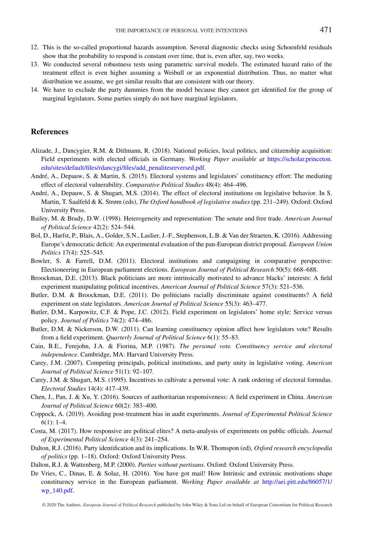- 12. This is the so-called proportional hazards assumption. Several diagnostic checks using Schoenfeld residuals show that the probability to respond is constant over time, that is, even after, say, two weeks.
- 13. We conducted several robustness tests using parametric survival models. The estimated hazard ratio of the treatment effect is even higher assuming a Weibull or an exponential distribution. Thus, no matter what distribution we assume, we get similar results that are consistent with our theory.
- 14. We have to exclude the party dummies from the model because they cannot get identified for the group of marginal legislators. Some parties simply do not have marginal legislators.

### **References**

- Alizade, J., Dancygier, R.M. & Ditlmann, R. (2018). National policies, local politics, and citizenship acquisition: Field experiments with elected officials in Germany. *Working Paper available at* [https://scholar.princeton.](https://scholar.princeton.edu/sites/default/files/rdancygi/files/add_penalitesreversed.pdf) [edu/sites/default/files/rdancygi/files/add\\_penalitesreversed.pdf.](https://scholar.princeton.edu/sites/default/files/rdancygi/files/add_penalitesreversed.pdf)
- André, A., Depauw, S. & Martin, S. (2015). Electoral systems and legislators' constituency effort: The mediating effect of electoral vulnerability. *Comparative Political Studies* 48(4): 464–496.
- André, A., Depauw, S. & Shugart, M.S. (2014). The effect of electoral institutions on legislative behavior. In S. Martin, T. Saalfeld & K. Strøm (eds), *The Oxford handbook of legislative studies* (pp. 231–249). Oxford: Oxford University Press.
- Bailey, M. & Brady, D.W. (1998). Heterogeneity and representation: The senate and free trade. *American Journal of Political Science* 42(2): 524–544.
- Bol, D., Harfst, P., Blais, A., Golder, S.N., Laslier, J.-F., Stephenson, L.B. & Van der Straeten, K. (2016). Addressing Europe's democratic deficit: An experimental evaluation of the pan-European district proposal. *European Union Politics* 17(4): 525–545.
- Bowler, S. & Farrell, D.M. (2011). Electoral institutions and campaigning in comparative perspective: Electioneering in European parliament elections. *European Journal of Political Research* 50(5): 668–688.
- Broockman, D.E. (2013). Black politicians are more intrinsically motivated to advance blacks' interests: A field experiment manipulating political incentives. *American Journal of Political Science* 57(3): 521–536.
- Butler, D.M. & Broockman, D.E. (2011). Do politicians racially discriminate against constituents? A field experiment on state legislators. *American Journal of Political Science* 55(3): 463–477.
- Butler, D.M., Karpowitz, C.F. & Pope, J.C. (2012). Field experiment on legislators' home style: Service versus policy. *Journal of Politics* 74(2): 474–486.
- Butler, D.M. & Nickerson, D.W. (2011). Can learning constituency opinion affect how legislators vote? Results from a field experiment. *Quarterly Journal of Political Science* 6(1): 55–83.
- Cain, B.E., Ferejohn, J.A. & Fiorina, M.P. (1987). *The personal vote. Constituency service and electoral independence*. Cambridge, MA: Harvard University Press.
- Carey, J.M. (2007). Competing principals, political institutions, and party unity in legislative voting. *American Journal of Political Science* 51(1): 92–107.
- Carey, J.M. & Shugart, M.S. (1995). Incentives to cultivate a personal vote: A rank ordering of electoral formulas. *Electoral Studies* 14(4): 417–439.
- Chen, J., Pan, J. & Xu, Y. (2016). Sources of authoritarian responsiveness: A field experiment in China. *American Journal of Political Science* 60(2): 383–400.
- Coppock, A. (2019). Avoiding post-treatment bias in audit experiments. *Journal of Experimental Political Science*  $6(1): 1-4.$
- Costa, M. (2017). How responsive are political elites? A meta-analysis of experiments on public officials. *Journal of Experimental Political Science* 4(3): 241–254.
- Dalton, R.J. (2016). Party identification and its implications. In W.R. Thomspon (ed), *Oxford research encyclopedia of politics* (pp. 1–18). Oxford: Oxford University Press.

Dalton, R.J. & Wattenberg, M.P. (2000). *Parties without partisans*. Oxford: Oxford University Press.

De Vries, C., Dinas, E. & Solaz, H. (2016). You have got mail! How Intrinsic and extrinsic motivations shape constituency service in the European parliament. *Working Paper available at* [http://aei.pitt.edu/86057/1/](http://aei.pitt.edu/86057/1/wp_140.pdf) [wp\\_140.pdf.](http://aei.pitt.edu/86057/1/wp_140.pdf)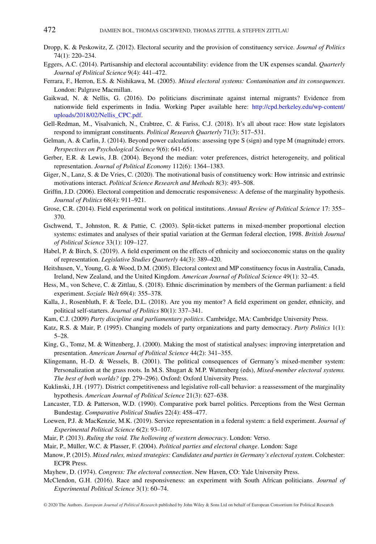- Dropp, K. & Peskowitz, Z. (2012). Electoral security and the provision of constituency service. *Journal of Politics* 74(1): 220–234.
- Eggers, A.C. (2014). Partisanship and electoral accountability: evidence from the UK expenses scandal. *Quarterly Journal of Political Science* 9(4): 441–472.
- Ferrara, F., Herron, E.S. & Nishikawa, M. (2005). *Mixed electoral systems: Contamination and its consequences*. London: Palgrave Macmillan.
- Gaikwad, N. & Nellis, G. (2016). Do politicians discriminate against internal migrants? Evidence from nationwide field experiments in India. Working Paper available here: [http://cpd.berkeley.edu/wp-content/](http://cpd.berkeley.edu/wp-content/uploads/2018/02/Nellis_CPC.pdf) [uploads/2018/02/Nellis\\_CPC.pdf.](http://cpd.berkeley.edu/wp-content/uploads/2018/02/Nellis_CPC.pdf)
- Gell-Redman, M., Visalvanich, N., Crabtree, C. & Fariss, C.J. (2018). It's all about race: How state legislators respond to immigrant constituents. *Political Research Quarterly* 71(3): 517–531.
- Gelman, A. & Carlin, J. (2014). Beyond power calculations: assessing type S (sign) and type M (magnitude) errors. *Perspectives on Psychological Science* 9(6): 641-651.
- Gerber, E.R. & Lewis, J.B. (2004). Beyond the median: voter preferences, district heterogeneity, and political representation. *Journal of Political Economy* 112(6): 1364–1383.
- Giger, N., Lanz, S. & De Vries, C. (2020). The motivational basis of constituency work: How intrinsic and extrinsic motivations interact. *Political Science Research and Methods* 8(3): 493–508.
- Griffin, J.D. (2006). Electoral competition and democratic responsiveness: A defense of the marginality hypothesis. *Journal of Politics* 68(4): 911–921.
- Grose, C.R. (2014). Field experimental work on political institutions. *Annual Review of Political Science* 17: 355– 370.
- Gschwend, T., Johnston, R. & Pattie, C. (2003). Split-ticket patterns in mixed-member proportional election systems: estimates and analyses of their spatial variation at the German federal election, 1998. *British Journal of Political Science* 33(1): 109–127.
- Habel, P. & Birch, S. (2019). A field experiment on the effects of ethnicity and socioeconomic status on the quality of representation. *Legislative Studies Quarterly* 44(3): 389–420.
- Heitshusen, V., Young, G. & Wood, D.M. (2005). Electoral context and MP constituency focus in Australia, Canada, Ireland, New Zealand, and the United Kingdom. *American Journal of Political Science* 49(1): 32–45.
- Hess, M., von Scheve, C. & Zittlau, S. (2018). Ethnic discrimination by members of the German parliament: a field experiment. *Soziale Welt* 69(4): 355–378.
- Kalla, J., Rosenbluth, F. & Teele, D.L. (2018). Are you my mentor? A field experiment on gender, ethnicity, and political self-starters. *Journal of Politics* 80(1): 337–341.
- Kam, C.J. (2009) *Party discipline and parliamentary politics*. Cambridge, MA: Cambridge University Press.
- Katz, R.S. & Mair, P. (1995). Changing models of party organizations and party democracy. *Party Politics* 1(1): 5–28.
- King, G., Tomz, M. & Wittenberg, J. (2000). Making the most of statistical analyses: improving interpretation and presentation. *American Journal of Political Science* 44(2): 341–355.
- Klingemann, H.-D. & Wessels, B. (2001). The political consequences of Germany's mixed-member system: Personalization at the grass roots. In M.S. Shugart & M.P. Wattenberg (eds), *Mixed-member electoral systems. The best of both worlds?* (pp. 279–296). Oxford: Oxford University Press.
- Kuklinski, J.H. (1977). District competitiveness and legislative roll-call behavior: a reassessment of the marginality hypothesis. *American Journal of Political Science* 21(3): 627–638.
- Lancaster, T.D. & Patterson, W.D. (1990). Comparative pork barrel politics. Perceptions from the West German Bundestag. *Comparative Political Studie*s 22(4): 458–477.
- Loewen, P.J. & MacKenzie, M.K. (2019). Service representation in a federal system: a field experiment. *Journal of Experimental Political Science* 6(2): 93–107.
- Mair, P. (2013). *Ruling the void. The hollowing of western democracy*. London: Verso.
- Mair, P., Müller, W.C. & Plasser, F. (2004). *Political parties and electoral change*. London: Sage
- Manow, P. (2015). *Mixed rules, mixed strategies: Candidates and parties in Germany's electoral system*. Colchester: ECPR Press.
- Mayhew, D. (1974). *Congress: The electoral connection*. New Haven, CO: Yale University Press.
- McClendon, G.H. (2016). Race and responsiveness: an experiment with South African politicians. *Journal of Experimental Political Science* 3(1): 60–74.